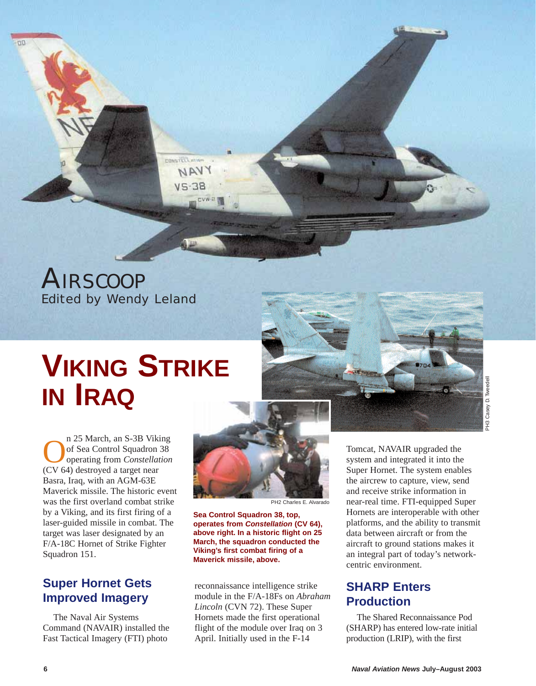*AIRSCOOP Edited by Wendy Leland*

**FONSYCOLONE** NAVY

# **VIKING STRIKE IN IRAQ**

n 25 March, an S-3B Viking<br>of Sea Control Squadron 38<br>operating from *Constellation* of Sea Control Squadron 38 operating from *Constellation* (CV 64) destroyed a target near Basra, Iraq, with an AGM-63E Maverick missile. The historic event was the first overland combat strike by a Viking, and its first firing of a laser-guided missile in combat. The target was laser designated by an F/A-18C Hornet of Strike Fighter Squadron 151.

#### **Super Hornet Gets Improved Imagery**

The Naval Air Systems Command (NAVAIR) installed the Fast Tactical Imagery (FTI) photo



PH2 Charles E. Alvarado

**Sea Control Squadron 38, top, operates from** *Constellation* **(CV 64), above right. In a historic flight on 25 March, the squadron conducted the Viking's first combat firing of a Maverick missile, above.**

reconnaissance intelligence strike module in the F/A-18Fs on *Abraham Lincoln* (CVN 72). These Super Hornets made the first operational flight of the module over Iraq on 3 April. Initially used in the F-14

Tomcat, NAVAIR upgraded the system and integrated it into the Super Hornet. The system enables the aircrew to capture, view, send and receive strike information in near-real time. FTI-equipped Super Hornets are interoperable with other platforms, and the ability to transmit data between aircraft or from the aircraft to ground stations makes it an integral part of today's networkcentric environment.

#### **SHARP Enters Production**

The Shared Reconnaissance Pod (SHARP) has entered low-rate initial production (LRIP), with the first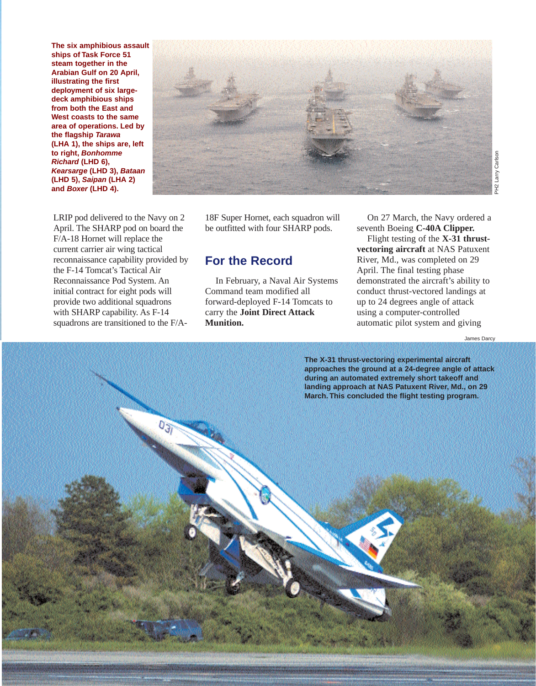**The six amphibious assault ships of Task Force 51 steam together in the Arabian Gulf on 20 April, illustrating the first deployment of six largedeck amphibious ships from both the East and West coasts to the same area of operations. Led by the flagship** *Tarawa* **(LHA 1), the ships are, left to right,** *Bonhomme Richard* **(LHD 6),** *Kearsarge* **(LHD 3),** *Bataan* **(LHD 5),** *Saipan* **(LHA 2) and** *Boxer* **(LHD 4).**



LRIP pod delivered to the Navy on 2 April. The SHARP pod on board the F/A-18 Hornet will replace the current carrier air wing tactical reconnaissance capability provided by the F-14 Tomcat's Tactical Air Reconnaissance Pod System. An initial contract for eight pods will provide two additional squadrons with SHARP capability. As F-14 squadrons are transitioned to the F/A-

18F Super Hornet, each squadron will be outfitted with four SHARP pods.

#### **For the Record**

In February, a Naval Air Systems Command team modified all forward-deployed F-14 Tomcats to carry the **Joint Direct Attack Munition.**

On 27 March, the Navy ordered a seventh Boeing **C-40A Clipper.** 

Flight testing of the **X-31 thrustvectoring aircraft** at NAS Patuxent River, Md., was completed on 29 April. The final testing phase demonstrated the aircraft's ability to conduct thrust-vectored landings at up to 24 degrees angle of attack using a computer-controlled automatic pilot system and giving Same Carlson<br>
Baragain<br>
Baragain<br>
Baragain<br>
Darcy Phility to<br>
Dames Darcy<br>
James Darcy

James Darcy

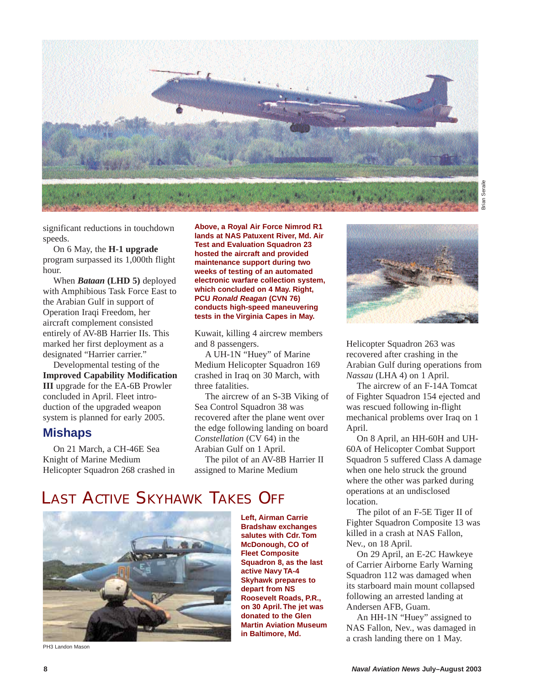

significant reductions in touchdown speeds.

On 6 May, the **H-1 upgrade** program surpassed its 1,000th flight hour.

When *Bataan* **(LHD 5)** deployed with Amphibious Task Force East to the Arabian Gulf in support of Operation Iraqi Freedom, her aircraft complement consisted entirely of AV-8B Harrier IIs. This marked her first deployment as a designated "Harrier carrier."

Developmental testing of the **Improved Capability Modification III** upgrade for the EA-6B Prowler concluded in April. Fleet introduction of the upgraded weapon system is planned for early 2005.

#### **Mishaps**

On 21 March, a CH-46E Sea Knight of Marine Medium Helicopter Squadron 268 crashed in **Above, a Royal Air Force Nimrod R1 lands at NAS Patuxent River, Md. Air Test and Evaluation Squadron 23 hosted the aircraft and provided maintenance support during two weeks of testing of an automated electronic warfare collection system, which concluded on 4 May. Right, PCU** *Ronald Reagan* **(CVN 76) conducts high-speed maneuvering tests in the Virginia Capes in May.**

Kuwait, killing 4 aircrew members and 8 passengers.

A UH-1N "Huey" of Marine Medium Helicopter Squadron 169 crashed in Iraq on 30 March, with three fatalities.

The aircrew of an S-3B Viking of Sea Control Squadron 38 was recovered after the plane went over the edge following landing on board *Constellation* (CV 64) in the Arabian Gulf on 1 April. The pilot of an AV-8B Harrier II

assigned to Marine Medium

### LAST ACTIVE SKYHAWK TAKES OFF



PH3 Landon Mason

**Left, Airman Carrie Bradshaw exchanges salutes with Cdr. Tom McDonough, CO of Fleet Composite Squadron 8, as the last active Navy TA-4 Skyhawk prepares to depart from NS Roosevelt Roads, P.R., on 30 April. The jet was donated to the Glen Martin Aviation Museum in Baltimore, Md.**



Helicopter Squadron 263 was recovered after crashing in the Arabian Gulf during operations from *Nassau* (LHA 4) on 1 April.

The aircrew of an F-14A Tomcat of Fighter Squadron 154 ejected and was rescued following in-flight mechanical problems over Iraq on 1 April.

On 8 April, an HH-60H and UH-60A of Helicopter Combat Support Squadron 5 suffered Class A damage when one helo struck the ground where the other was parked during operations at an undisclosed location.

The pilot of an F-5E Tiger II of Fighter Squadron Composite 13 was killed in a crash at NAS Fallon, Nev., on 18 April.

On 29 April, an E-2C Hawkeye of Carrier Airborne Early Warning Squadron 112 was damaged when its starboard main mount collapsed following an arrested landing at Andersen AFB, Guam.

An HH-1N "Huey" assigned to NAS Fallon, Nev., was damaged in a crash landing there on 1 May.